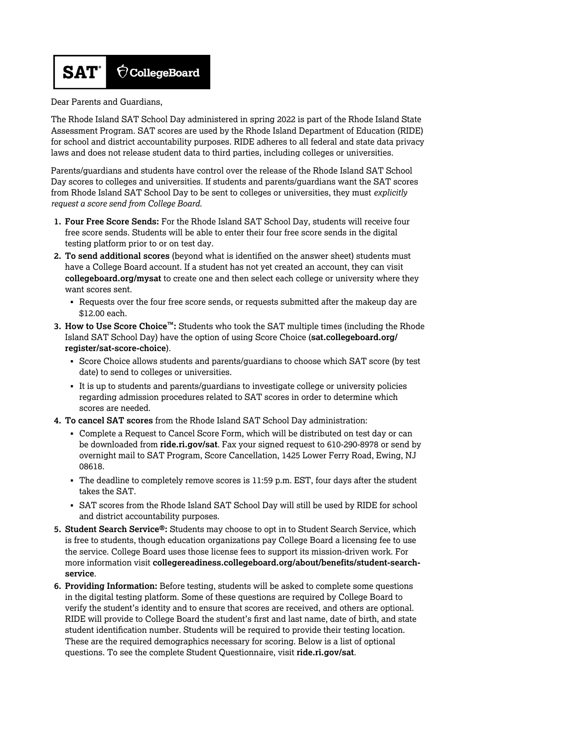

Dear Parents and Guardians,

The Rhode Island SAT School Day administered in spring 2022 is part of the Rhode Island State Assessment Program. SAT scores are used by the Rhode Island Department of Education (RIDE) for school and district accountability purposes. RIDE adheres to all federal and state data privacy laws and does not release student data to third parties, including colleges or universities.

Parents/guardians and students have control over the release of the Rhode Island SAT School Day scores to colleges and universities. If students and parents/guardians want the SAT scores from Rhode Island SAT School Day to be sent to colleges or universities, they must *explicitly request a score send from College Board.*

- **1. Four Free Score Sends:** For the Rhode Island SAT School Day, students will receive four free score sends. Students will be able to enter their four free score sends in the digital testing platform prior to or on test day.
- **2. To send additional scores** (beyond what is identified on the answer sheet) students must have a College Board account. If a student has not yet created an account, they can visit **[collegeboard.org/mysat](http://collegeboard.org/mysat)** to create one and then select each college or university where they want scores sent.
	- § Requests over the four free score sends, or requests submitted after the makeup day are \$12.00 each.
- **3. How to Use Score Choice™:** Students who took the SAT multiple times (including the Rhode [Island SAT School Day\) have the option of using Score Choice \(](http://sat.collegeboard.org/register/sat-score-choice)**sat.collegeboard.org/ register/sat-score-choice**).
	- Score Choice allows students and parents/guardians to choose which SAT score (by test date) to send to colleges or universities.
	- § It is up to students and parents/guardians to investigate college or university policies regarding admission procedures related to SAT scores in order to determine which scores are needed.
- **4. To cancel SAT scores** from the Rhode Island SAT School Day administration:
	- § Complete a Request to Cancel Score Form, which will be distributed on test day or can be downloaded from **[ride.ri.gov/sat](http://www.ride.ri.gov/sat)**. Fax your signed request to 610-290-8978 or send by overnight mail to SAT Program, Score Cancellation, 1425 Lower Ferry Road, Ewing, NJ 08618.
	- The deadline to completely remove scores is 11:59 p.m. EST, four days after the student takes the SAT.
	- § SAT scores from the Rhode Island SAT School Day will still be used by RIDE for school and district accountability purposes.
- **5. Student Search Service®:** Students may choose to opt in to Student Search Service, which is free to students, though education organizations pay College Board a licensing fee to use the service. College Board uses those license fees to support its mission-driven work. For more information visit **[collegereadiness.collegeboard.org/about/benefits/student-search](http://collegereadiness.collegeboard.org/about/benefits/student-search-service)service**.
- **6. Providing Information:** Before testing, students will be asked to complete some questions in the digital testing platform. Some of these questions are required by College Board to verify the student's identity and to ensure that scores are received, and others are optional. RIDE will provide to College Board the student's first and last name, date of birth, and state student identification number. Students will be required to provide their testing location. These are the required demographics necessary for scoring. Below is a list of optional questions. To see the complete Student Questionnaire, visit **[ride.ri.gov/sat](http://www.ride.ri.gov/sat)**.